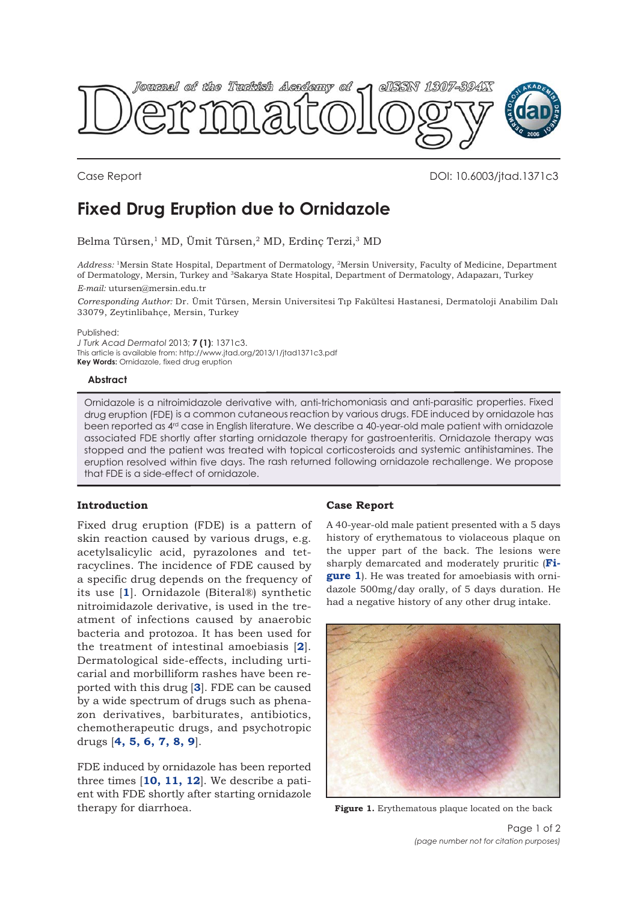

Case Report DOI: 10.6003/jtad.1371c3

# **Fixed Drug Eruption due to Ornidazole**

Belma Türsen,<sup>1</sup> MD, Ümit Türsen,<sup>2</sup> MD, Erdinç Terzi,<sup>3</sup> MD

*Address:* 1Mersin State Hospital, Department of Dermatology, 2Mersin University, Faculty of Medicine, Department of Dermatology, Mersin, Turkey and <sup>3</sup>Sakarya State Hospital, Department of Dermatology, Adapazarı, Turkey

*E-mail:* utursen@mersin.edu.tr

*Corresponding Author:* Dr. Ümit Türsen, Mersin Universitesi Tıp Fakültesi Hastanesi, Dermatoloji Anabilim Dalı 33079, Zeytinlibahçe, Mersin, Turkey

Published:

*J Turk Acad Dermatol* 2013; **7 (1)**: 1371c3. This article is available from: http://www.jtad.org/2013/1/jtad1371c3.pdf **Key Words:** Ornidazole, fixed drug eruption

### **Abstract**

Ornidazole is a nitroimidazole derivative with, anti-trichomoniasis and anti-parasitic properties. Fixed drug eruption (FDE) is a common cutaneous reaction by various drugs. FDE induced by ornidazole has been reported as 4<sup>rd</sup> case in English literature. We describe a 40-year-old male patient with ornidazole associated FDE shortly after starting ornidazole therapy for gastroenteritis. Ornidazole therapy was stopped and the patient was treated with topical corticosteroids and systemic antihistamines. The eruption resolved within five days. The rash returned following ornidazole rechallenge. We propose that FDE is a side-effect of ornidazole.

## **Introduction**

Fixed drug eruption (FDE) is a pattern of skin reaction caused by various drugs, e.g. acetylsalicylic acid, pyrazolones and tetracyclines. The incidence of FDE caused by a specific drug depends on the frequency of its use [**[1](#page-1-0)**]. Ornidazole (Biteral®) synthetic nitroimidazole derivative, is used in the treatment of infections caused by anaerobic bacteria and protozoa. It has been used for the treatment of intestinal amoebiasis [**[2](#page-1-0)**]. Dermatological side-effects, including urticarial and morbilliform rashes have been reported with this drug [**[3](#page-1-0)**]. FDE can be caused by a wide spectrum of drugs such as phenazon derivatives, barbiturates, antibiotics, chemotherapeutic drugs, and psychotropic drugs [**[4, 5, 6, 7, 8, 9](#page-1-0)**].

FDE induced by ornidazole has been reported three times [**[10, 11, 12](#page-1-0)**]. We describe a patient with FDE shortly after starting ornidazole therapy for diarrhoea.

## **Case Report**

A 40-year-old male patient presented with a 5 days history of erythematous to violaceous plaque on the upper part of the back. The lesions were sharply demarcated and moderately pruritic (**Figure 1**). He was treated for amoebiasis with ornidazole 500mg/day orally, of 5 days duration. He had a negative history of any other drug intake.



**Figure 1.** Erythematous plaque located on the back